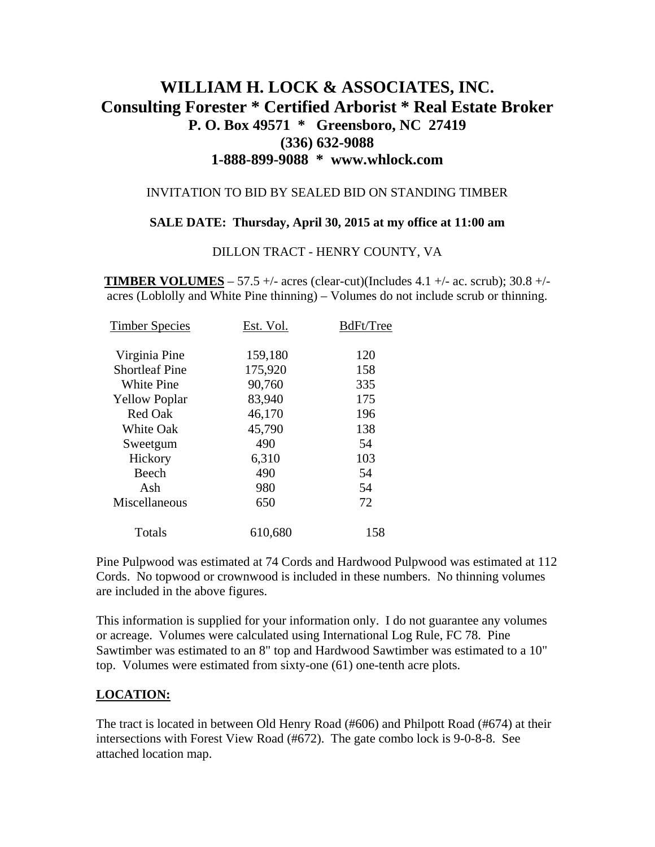# **WILLIAM H. LOCK & ASSOCIATES, INC. Consulting Forester \* Certified Arborist \* Real Estate Broker P. O. Box 49571 \* Greensboro, NC 27419 (336) 632-9088 1-888-899-9088 \* www.whlock.com**

### INVITATION TO BID BY SEALED BID ON STANDING TIMBER

### **SALE DATE: Thursday, April 30, 2015 at my office at 11:00 am**

#### DILLON TRACT - HENRY COUNTY, VA

**TIMBER VOLUMES** – 57.5 +/- acres (clear-cut)(Includes 4.1 +/- ac. scrub);  $30.8 +/$ acres (Loblolly and White Pine thinning) – Volumes do not include scrub or thinning.

| <b>Timber Species</b> | Est. Vol. | BdFt/Tree |
|-----------------------|-----------|-----------|
| Virginia Pine         | 159,180   | 120       |
| <b>Shortleaf Pine</b> | 175,920   | 158       |
| <b>White Pine</b>     | 90,760    | 335       |
| <b>Yellow Poplar</b>  | 83,940    | 175       |
| Red Oak               | 46,170    | 196       |
| <b>White Oak</b>      | 45,790    | 138       |
| Sweetgum              | 490       | 54        |
| Hickory               | 6,310     | 103       |
| Beech                 | 490       | 54        |
| Ash                   | 980       | 54        |
| Miscellaneous         | 650       | 72        |
| Totals                | 610,680   | 158       |

Pine Pulpwood was estimated at 74 Cords and Hardwood Pulpwood was estimated at 112 Cords. No topwood or crownwood is included in these numbers. No thinning volumes are included in the above figures.

This information is supplied for your information only. I do not guarantee any volumes or acreage. Volumes were calculated using International Log Rule, FC 78. Pine Sawtimber was estimated to an 8" top and Hardwood Sawtimber was estimated to a 10" top. Volumes were estimated from sixty-one (61) one-tenth acre plots.

## **LOCATION:**

The tract is located in between Old Henry Road (#606) and Philpott Road (#674) at their intersections with Forest View Road (#672). The gate combo lock is 9-0-8-8. See attached location map.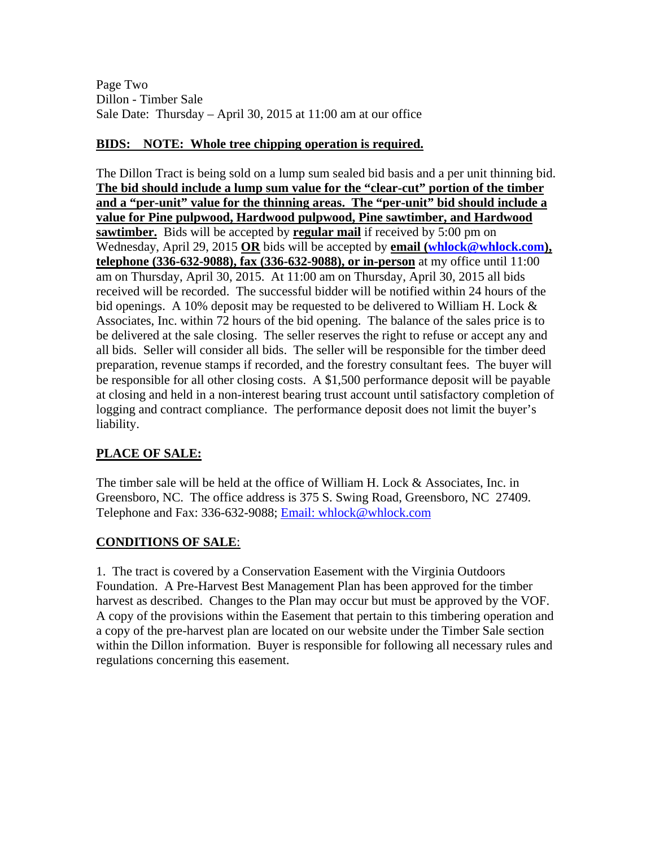Page Two Dillon - Timber Sale Sale Date: Thursday – April 30, 2015 at 11:00 am at our office

## **BIDS: NOTE: Whole tree chipping operation is required.**

The Dillon Tract is being sold on a lump sum sealed bid basis and a per unit thinning bid. **The bid should include a lump sum value for the "clear-cut" portion of the timber and a "per-unit" value for the thinning areas. The "per-unit" bid should include a value for Pine pulpwood, Hardwood pulpwood, Pine sawtimber, and Hardwood <u>sawtimber.</u>** Bids will be accepted by **regular mail** if received by 5:00 pm on Wednesday, April 29, 2015 OR bids will be accepted by **email [\(whlock@whlock.com](mailto:whlock@whlock.com))**, **telephone (336-632-9088), fax (336-632-9088), or in-person** at my office until 11:00 am on Thursday, April 30, 2015. At 11:00 am on Thursday, April 30, 2015 all bids received will be recorded. The successful bidder will be notified within 24 hours of the bid openings. A 10% deposit may be requested to be delivered to William H. Lock & Associates, Inc. within 72 hours of the bid opening. The balance of the sales price is to be delivered at the sale closing. The seller reserves the right to refuse or accept any and all bids. Seller will consider all bids. The seller will be responsible for the timber deed preparation, revenue stamps if recorded, and the forestry consultant fees. The buyer will be responsible for all other closing costs. A \$1,500 performance deposit will be payable at closing and held in a non-interest bearing trust account until satisfactory completion of logging and contract compliance. The performance deposit does not limit the buyer's liability.

# **PLACE OF SALE:**

The timber sale will be held at the office of William H. Lock & Associates, Inc. in Greensboro, NC. The office address is 375 S. Swing Road, Greensboro, NC 27409. Telephone and Fax: 336-632-9088; [Email: whlock@whlock.com](mailto:Email:%20whlock@whlock.com) 

# **CONDITIONS OF SALE**:

1. The tract is covered by a Conservation Easement with the Virginia Outdoors Foundation. A Pre-Harvest Best Management Plan has been approved for the timber harvest as described. Changes to the Plan may occur but must be approved by the VOF. A copy of the provisions within the Easement that pertain to this timbering operation and a copy of the pre-harvest plan are located on our website under the Timber Sale section within the Dillon information. Buyer is responsible for following all necessary rules and regulations concerning this easement.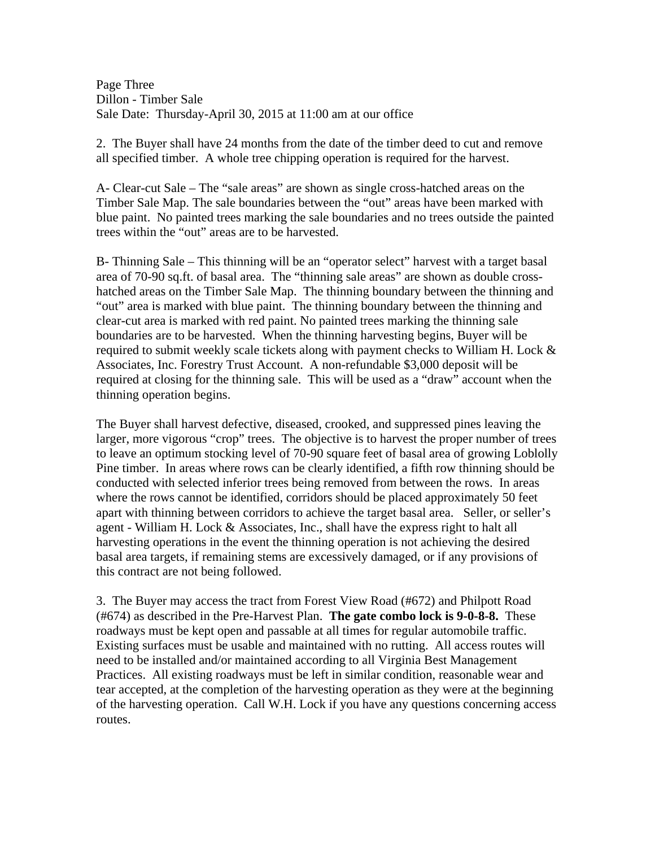Page Three Dillon - Timber Sale Sale Date: Thursday-April 30, 2015 at 11:00 am at our office

2. The Buyer shall have 24 months from the date of the timber deed to cut and remove all specified timber. A whole tree chipping operation is required for the harvest.

A- Clear-cut Sale – The "sale areas" are shown as single cross-hatched areas on the Timber Sale Map. The sale boundaries between the "out" areas have been marked with blue paint. No painted trees marking the sale boundaries and no trees outside the painted trees within the "out" areas are to be harvested.

B- Thinning Sale – This thinning will be an "operator select" harvest with a target basal area of 70-90 sq.ft. of basal area. The "thinning sale areas" are shown as double crosshatched areas on the Timber Sale Map. The thinning boundary between the thinning and "out" area is marked with blue paint. The thinning boundary between the thinning and clear-cut area is marked with red paint. No painted trees marking the thinning sale boundaries are to be harvested. When the thinning harvesting begins, Buyer will be required to submit weekly scale tickets along with payment checks to William H. Lock & Associates, Inc. Forestry Trust Account. A non-refundable \$3,000 deposit will be required at closing for the thinning sale. This will be used as a "draw" account when the thinning operation begins.

The Buyer shall harvest defective, diseased, crooked, and suppressed pines leaving the larger, more vigorous "crop" trees. The objective is to harvest the proper number of trees to leave an optimum stocking level of 70-90 square feet of basal area of growing Loblolly Pine timber. In areas where rows can be clearly identified, a fifth row thinning should be conducted with selected inferior trees being removed from between the rows. In areas where the rows cannot be identified, corridors should be placed approximately 50 feet apart with thinning between corridors to achieve the target basal area. Seller, or seller's agent - William H. Lock & Associates, Inc., shall have the express right to halt all harvesting operations in the event the thinning operation is not achieving the desired basal area targets, if remaining stems are excessively damaged, or if any provisions of this contract are not being followed.

3. The Buyer may access the tract from Forest View Road (#672) and Philpott Road (#674) as described in the Pre-Harvest Plan. **The gate combo lock is 9-0-8-8.** These roadways must be kept open and passable at all times for regular automobile traffic. Existing surfaces must be usable and maintained with no rutting. All access routes will need to be installed and/or maintained according to all Virginia Best Management Practices. All existing roadways must be left in similar condition, reasonable wear and tear accepted, at the completion of the harvesting operation as they were at the beginning of the harvesting operation. Call W.H. Lock if you have any questions concerning access routes.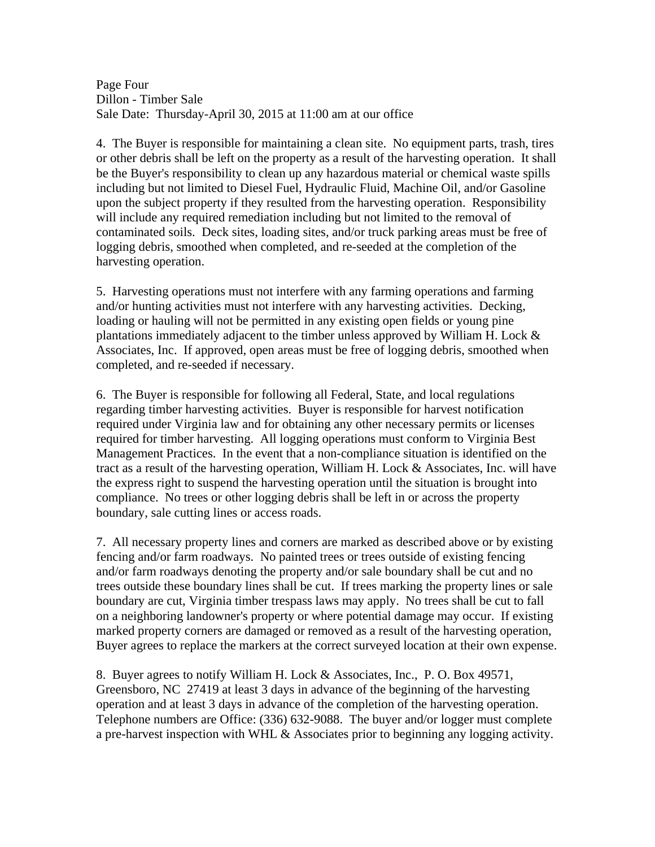Page Four Dillon - Timber Sale Sale Date: Thursday-April 30, 2015 at 11:00 am at our office

4. The Buyer is responsible for maintaining a clean site. No equipment parts, trash, tires or other debris shall be left on the property as a result of the harvesting operation. It shall be the Buyer's responsibility to clean up any hazardous material or chemical waste spills including but not limited to Diesel Fuel, Hydraulic Fluid, Machine Oil, and/or Gasoline upon the subject property if they resulted from the harvesting operation. Responsibility will include any required remediation including but not limited to the removal of contaminated soils. Deck sites, loading sites, and/or truck parking areas must be free of logging debris, smoothed when completed, and re-seeded at the completion of the harvesting operation.

5. Harvesting operations must not interfere with any farming operations and farming and/or hunting activities must not interfere with any harvesting activities. Decking, loading or hauling will not be permitted in any existing open fields or young pine plantations immediately adjacent to the timber unless approved by William H. Lock & Associates, Inc. If approved, open areas must be free of logging debris, smoothed when completed, and re-seeded if necessary.

6. The Buyer is responsible for following all Federal, State, and local regulations regarding timber harvesting activities. Buyer is responsible for harvest notification required under Virginia law and for obtaining any other necessary permits or licenses required for timber harvesting. All logging operations must conform to Virginia Best Management Practices. In the event that a non-compliance situation is identified on the tract as a result of the harvesting operation, William H. Lock & Associates, Inc. will have the express right to suspend the harvesting operation until the situation is brought into compliance. No trees or other logging debris shall be left in or across the property boundary, sale cutting lines or access roads.

7. All necessary property lines and corners are marked as described above or by existing fencing and/or farm roadways. No painted trees or trees outside of existing fencing and/or farm roadways denoting the property and/or sale boundary shall be cut and no trees outside these boundary lines shall be cut. If trees marking the property lines or sale boundary are cut, Virginia timber trespass laws may apply. No trees shall be cut to fall on a neighboring landowner's property or where potential damage may occur. If existing marked property corners are damaged or removed as a result of the harvesting operation, Buyer agrees to replace the markers at the correct surveyed location at their own expense.

8. Buyer agrees to notify William H. Lock & Associates, Inc., P. O. Box 49571, Greensboro, NC 27419 at least 3 days in advance of the beginning of the harvesting operation and at least 3 days in advance of the completion of the harvesting operation. Telephone numbers are Office: (336) 632-9088. The buyer and/or logger must complete a pre-harvest inspection with WHL & Associates prior to beginning any logging activity.